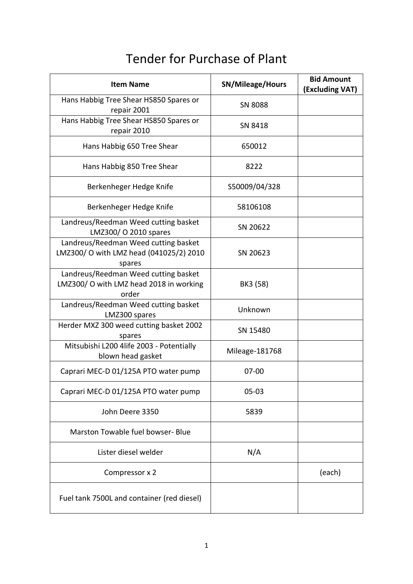# Tender for Purchase of Plant

| <b>Item Name</b>                                                                          | <b>SN/Mileage/Hours</b> | <b>Bid Amount</b><br>(Excluding VAT) |
|-------------------------------------------------------------------------------------------|-------------------------|--------------------------------------|
| Hans Habbig Tree Shear HS850 Spares or<br>repair 2001                                     | <b>SN 8088</b>          |                                      |
| Hans Habbig Tree Shear HS850 Spares or<br>repair 2010                                     | SN 8418                 |                                      |
| Hans Habbig 650 Tree Shear                                                                | 650012                  |                                      |
| Hans Habbig 850 Tree Shear                                                                | 8222                    |                                      |
| Berkenheger Hedge Knife                                                                   | S50009/04/328           |                                      |
| Berkenheger Hedge Knife                                                                   | 58106108                |                                      |
| Landreus/Reedman Weed cutting basket<br>LMZ300/ O 2010 spares                             | SN 20622                |                                      |
| Landreus/Reedman Weed cutting basket<br>LMZ300/ O with LMZ head (041025/2) 2010<br>spares | SN 20623                |                                      |
| Landreus/Reedman Weed cutting basket<br>LMZ300/ O with LMZ head 2018 in working<br>order  | BK3 (58)                |                                      |
| Landreus/Reedman Weed cutting basket<br>LMZ300 spares                                     | Unknown                 |                                      |
| Herder MXZ 300 weed cutting basket 2002<br>spares                                         | SN 15480                |                                      |
| Mitsubishi L200 4life 2003 - Potentially<br>blown head gasket                             | Mileage-181768          |                                      |
| Caprari MEC-D 01/125A PTO water pump                                                      | $07 - 00$               |                                      |
| Caprari MEC-D 01/125A PTO water pump                                                      | $05 - 03$               |                                      |
| John Deere 3350                                                                           | 5839                    |                                      |
| Marston Towable fuel bowser- Blue                                                         |                         |                                      |
| Lister diesel welder                                                                      | N/A                     |                                      |
| Compressor x 2                                                                            |                         | (each)                               |
| Fuel tank 7500L and container (red diesel)                                                |                         |                                      |